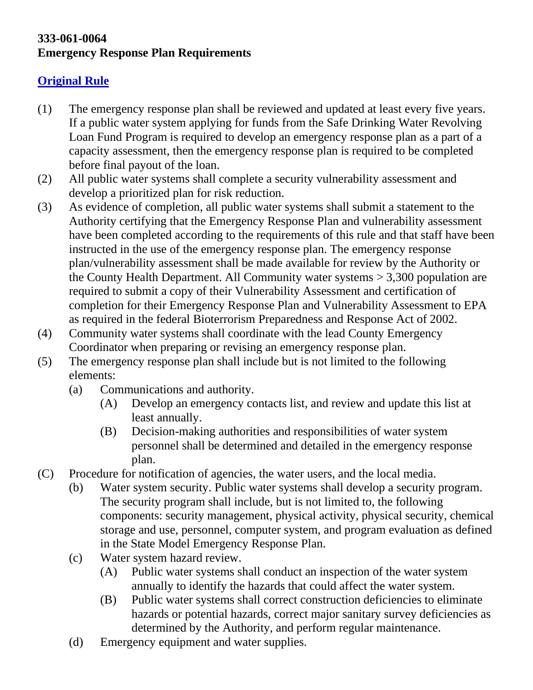## **333-061-0064 Emergency Response Plan Requirements**

## **Original Rule**

- (1) The emergency response plan shall be reviewed and updated at least every five years. If a public water system applying for funds from the Safe Drinking Water Revolving Loan Fund Program is required to develop an emergency response plan as a part of a capacity assessment, then the emergency response plan is required to be completed before final payout of the loan.
- (2) All public water systems shall complete a security vulnerability assessment and develop a prioritized plan for risk reduction.
- (3) As evidence of completion, all public water systems shall submit a statement to the Authority certifying that the Emergency Response Plan and vulnerability assessment have been completed according to the requirements of this rule and that staff have been instructed in the use of the emergency response plan. The emergency response plan/vulnerability assessment shall be made available for review by the Authority or the County Health Department. All Community water systems > 3,300 population are required to submit a copy of their Vulnerability Assessment and certification of completion for their Emergency Response Plan and Vulnerability Assessment to EPA as required in the federal Bioterrorism Preparedness and Response Act of 2002.
- (4) Community water systems shall coordinate with the lead County Emergency Coordinator when preparing or revising an emergency response plan.
- (5) The emergency response plan shall include but is not limited to the following elements:
	- (a) Communications and authority.
		- (A) Develop an emergency contacts list, and review and update this list at least annually.
		- (B) Decision-making authorities and responsibilities of water system personnel shall be determined and detailed in the emergency response plan.
- (C) Procedure for notification of agencies, the water users, and the local media.
	- (b) Water system security. Public water systems shall develop a security program. The security program shall include, but is not limited to, the following components: security management, physical activity, physical security, chemical storage and use, personnel, computer system, and program evaluation as defined in the State Model Emergency Response Plan.
	- (c) Water system hazard review.
		- (A) Public water systems shall conduct an inspection of the water system annually to identify the hazards that could affect the water system.
		- (B) Public water systems shall correct construction deficiencies to eliminate hazards or potential hazards, correct major sanitary survey deficiencies as determined by the Authority, and perform regular maintenance.
	- (d) Emergency equipment and water supplies.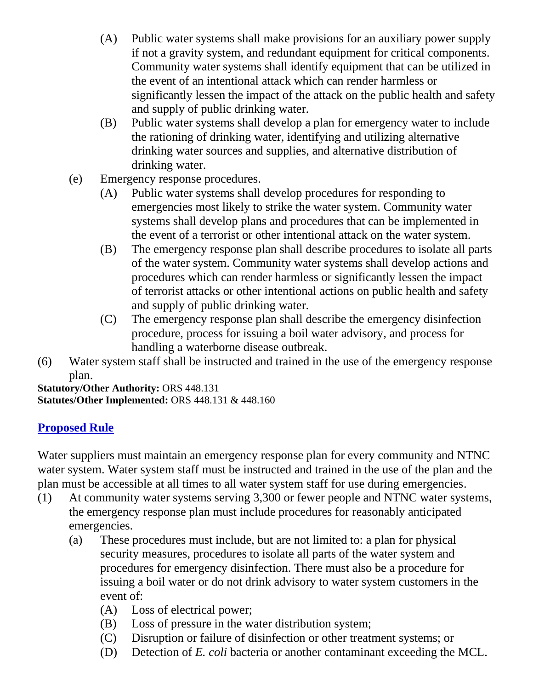- (A) Public water systems shall make provisions for an auxiliary power supply if not a gravity system, and redundant equipment for critical components. Community water systems shall identify equipment that can be utilized in the event of an intentional attack which can render harmless or significantly lessen the impact of the attack on the public health and safety and supply of public drinking water.
- (B) Public water systems shall develop a plan for emergency water to include the rationing of drinking water, identifying and utilizing alternative drinking water sources and supplies, and alternative distribution of drinking water.
- (e) Emergency response procedures.
	- (A) Public water systems shall develop procedures for responding to emergencies most likely to strike the water system. Community water systems shall develop plans and procedures that can be implemented in the event of a terrorist or other intentional attack on the water system.
	- (B) The emergency response plan shall describe procedures to isolate all parts of the water system. Community water systems shall develop actions and procedures which can render harmless or significantly lessen the impact of terrorist attacks or other intentional actions on public health and safety and supply of public drinking water.
	- (C) The emergency response plan shall describe the emergency disinfection procedure, process for issuing a boil water advisory, and process for handling a waterborne disease outbreak.
- (6) Water system staff shall be instructed and trained in the use of the emergency response plan.

**Statutory/Other Authority:** ORS 448.131 **Statutes/Other Implemented:** ORS 448.131 & 448.160

## **Proposed Rule**

Water suppliers must maintain an emergency response plan for every community and NTNC water system. Water system staff must be instructed and trained in the use of the plan and the plan must be accessible at all times to all water system staff for use during emergencies.

- (1) At community water systems serving 3,300 or fewer people and NTNC water systems, the emergency response plan must include procedures for reasonably anticipated emergencies.
	- (a) These procedures must include, but are not limited to: a plan for physical security measures, procedures to isolate all parts of the water system and procedures for emergency disinfection. There must also be a procedure for issuing a boil water or do not drink advisory to water system customers in the event of:
		- (A) Loss of electrical power;
		- (B) Loss of pressure in the water distribution system;
		- (C) Disruption or failure of disinfection or other treatment systems; or
		- (D) Detection of *E. coli* bacteria or another contaminant exceeding the MCL.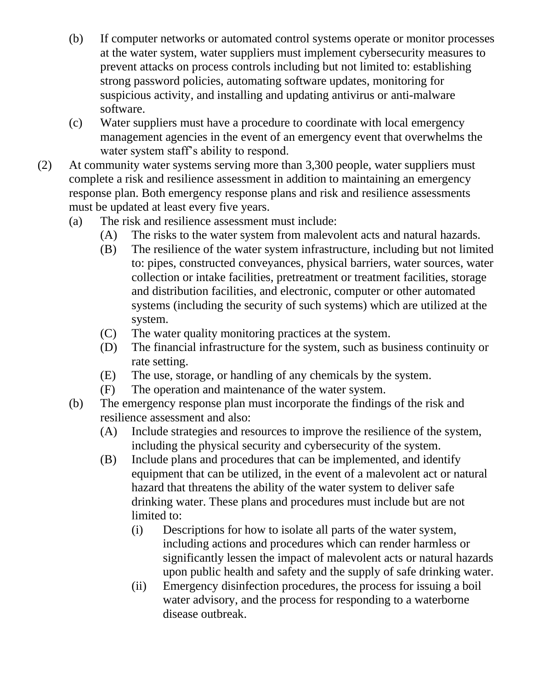- (b) If computer networks or automated control systems operate or monitor processes at the water system, water suppliers must implement cybersecurity measures to prevent attacks on process controls including but not limited to: establishing strong password policies, automating software updates, monitoring for suspicious activity, and installing and updating antivirus or anti-malware software.
- (c) Water suppliers must have a procedure to coordinate with local emergency management agencies in the event of an emergency event that overwhelms the water system staff's ability to respond.
- (2) At community water systems serving more than 3,300 people, water suppliers must complete a risk and resilience assessment in addition to maintaining an emergency response plan. Both emergency response plans and risk and resilience assessments must be updated at least every five years.
	- (a) The risk and resilience assessment must include:
		- (A) The risks to the water system from malevolent acts and natural hazards.
		- (B) The resilience of the water system infrastructure, including but not limited to: pipes, constructed conveyances, physical barriers, water sources, water collection or intake facilities, pretreatment or treatment facilities, storage and distribution facilities, and electronic, computer or other automated systems (including the security of such systems) which are utilized at the system.
		- (C) The water quality monitoring practices at the system.
		- (D) The financial infrastructure for the system, such as business continuity or rate setting.
		- (E) The use, storage, or handling of any chemicals by the system.
		- (F) The operation and maintenance of the water system.
	- (b) The emergency response plan must incorporate the findings of the risk and resilience assessment and also:
		- (A) Include strategies and resources to improve the resilience of the system, including the physical security and cybersecurity of the system.
		- (B) Include plans and procedures that can be implemented, and identify equipment that can be utilized, in the event of a malevolent act or natural hazard that threatens the ability of the water system to deliver safe drinking water. These plans and procedures must include but are not limited to:
			- (i) Descriptions for how to isolate all parts of the water system, including actions and procedures which can render harmless or significantly lessen the impact of malevolent acts or natural hazards upon public health and safety and the supply of safe drinking water.
			- (ii) Emergency disinfection procedures, the process for issuing a boil water advisory, and the process for responding to a waterborne disease outbreak.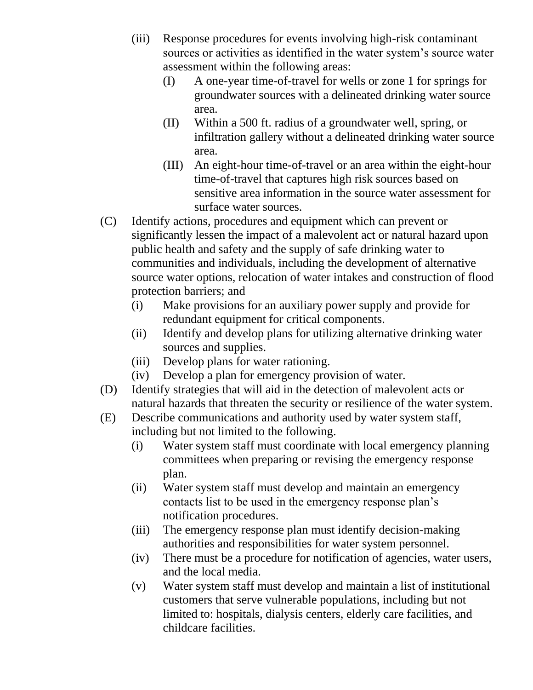- (iii) Response procedures for events involving high-risk contaminant sources or activities as identified in the water system's source water assessment within the following areas:
	- (I) A one-year time-of-travel for wells or zone 1 for springs for groundwater sources with a delineated drinking water source area.
	- (II) Within a 500 ft. radius of a groundwater well, spring, or infiltration gallery without a delineated drinking water source area.
	- (III) An eight-hour time-of-travel or an area within the eight-hour time-of-travel that captures high risk sources based on sensitive area information in the source water assessment for surface water sources.
- (C) Identify actions, procedures and equipment which can prevent or significantly lessen the impact of a malevolent act or natural hazard upon public health and safety and the supply of safe drinking water to communities and individuals, including the development of alternative source water options, relocation of water intakes and construction of flood protection barriers; and
	- (i) Make provisions for an auxiliary power supply and provide for redundant equipment for critical components.
	- (ii) Identify and develop plans for utilizing alternative drinking water sources and supplies.
	- (iii) Develop plans for water rationing.
	- (iv) Develop a plan for emergency provision of water.
- (D) Identify strategies that will aid in the detection of malevolent acts or natural hazards that threaten the security or resilience of the water system.
- (E) Describe communications and authority used by water system staff, including but not limited to the following.
	- (i) Water system staff must coordinate with local emergency planning committees when preparing or revising the emergency response plan.
	- (ii) Water system staff must develop and maintain an emergency contacts list to be used in the emergency response plan's notification procedures.
	- (iii) The emergency response plan must identify decision-making authorities and responsibilities for water system personnel.
	- (iv) There must be a procedure for notification of agencies, water users, and the local media.
	- (v) Water system staff must develop and maintain a list of institutional customers that serve vulnerable populations, including but not limited to: hospitals, dialysis centers, elderly care facilities, and childcare facilities.